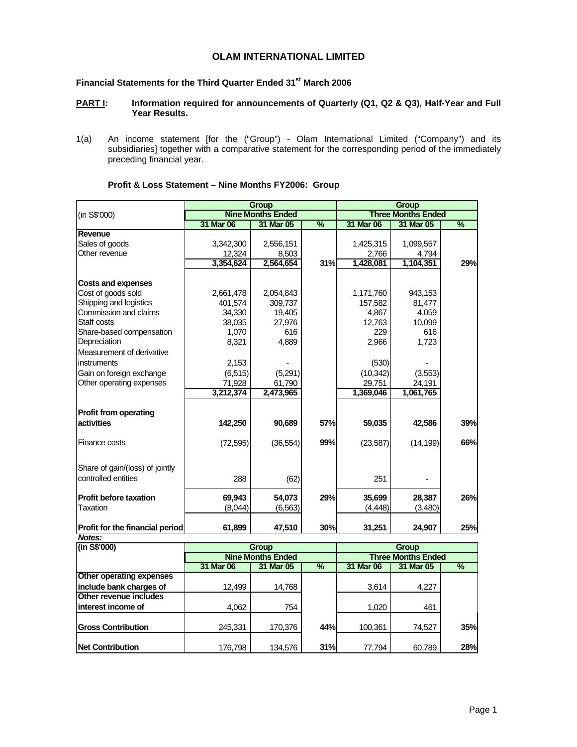# **OLAM INTERNATIONAL LIMITED**

# **Financial Statements for the Third Quarter Ended 31st March 2006**

### **PART I:** Information required for announcements of Quarterly (Q1, Q2 & Q3), Half-Year and Full **Year Results.**

1(a) An income statement [for the ("Group") - Olam International Limited ("Company") and its subsidiaries] together with a comparative statement for the corresponding period of the immediately preceding financial year.

|                                                    |           | <b>Group</b>             |               |           | <b>Group</b>              |               |
|----------------------------------------------------|-----------|--------------------------|---------------|-----------|---------------------------|---------------|
| (in S\$'000)                                       |           | <b>Nine Months Ended</b> |               |           | <b>Three Months Ended</b> |               |
|                                                    | 31 Mar 06 | 31 Mar 05                | $\frac{9}{6}$ | 31 Mar 06 | 31 Mar 05                 | $\frac{9}{6}$ |
| Revenue                                            |           |                          |               |           |                           |               |
| Sales of goods                                     | 3,342,300 | 2,556,151                |               | 1,425,315 | 1,099,557                 |               |
| Other revenue                                      | 12,324    | 8,503                    |               | 2.766     | 4,794                     |               |
|                                                    | 3,354,624 | 2,564,654                | <b>31%</b>    | 1,428,081 | 1,104,351                 | 29%           |
| <b>Costs and expenses</b>                          |           |                          |               |           |                           |               |
| Cost of goods sold                                 | 2,661,478 | 2,054,843                |               | 1,171,760 | 943,153                   |               |
| Shipping and logistics                             | 401,574   | 309.737                  |               | 157,582   | 81.477                    |               |
| Commission and claims                              | 34,330    | 19,405                   |               | 4,867     | 4,059                     |               |
| Staff costs                                        | 38,035    | 27,976                   |               | 12,763    | 10,099                    |               |
| Share-based compensation                           | 1,070     | 616                      |               | 229       | 616                       |               |
| Depreciation                                       | 8,321     | 4,889                    |               | 2,966     | 1,723                     |               |
| Measurement of derivative                          |           |                          |               |           |                           |               |
| instruments                                        | 2,153     |                          |               | (530)     |                           |               |
| Gain on foreign exchange                           | (6, 515)  | (5,291)                  |               | (10, 342) | (3,553)                   |               |
| Other operating expenses                           | 71,928    | 61,790                   |               | 29,751    | 24,191                    |               |
|                                                    | 3,212,374 | 2,473,965                |               | 1,369,046 | 1,061,765                 |               |
| <b>Profit from operating</b>                       |           |                          |               |           |                           |               |
| activities                                         | 142,250   | 90,689                   | 57%           | 59,035    | 42,586                    | 39%           |
| Finance costs                                      | (72, 595) | (36, 554)                | 99%           | (23, 587) | (14, 199)                 | 66%           |
| Share of gain/(loss) of jointly                    |           |                          |               |           |                           |               |
| controlled entities                                | 288       | (62)                     |               | 251       |                           |               |
| <b>Profit before taxation</b>                      | 69,943    | 54,073                   | 29%           | 35,699    | 28,387                    | 26%           |
| Taxation                                           | (8,044)   | (6, 563)                 |               | (4, 448)  | (3,480)                   |               |
| Profit for the financial period                    | 61,899    | 47,510                   | 30%           | 31,251    | 24,907                    | 25%           |
| Notes:                                             |           |                          |               |           |                           |               |
| $\frac{1}{\ln \text{SS}}$ (1000)<br>Group<br>Group |           |                          |               |           |                           |               |

## **Profit & Loss Statement – Nine Months FY2006: Group**

| (in S\$'000)              |                          | Group     |      | Group                     |           |     |  |
|---------------------------|--------------------------|-----------|------|---------------------------|-----------|-----|--|
|                           | <b>Nine Months Ended</b> |           |      | <b>Three Months Ended</b> |           |     |  |
|                           | 31 Mar 06                | 31 Mar 05 | $\%$ | 31 Mar 06                 | 31 Mar 05 | %   |  |
| Other operating expenses  |                          |           |      |                           |           |     |  |
| include bank charges of   | 12,499                   | 14.768    |      | 3,614                     | 4,227     |     |  |
| Other revenue includes    |                          |           |      |                           |           |     |  |
| interest income of        | 4,062                    | 754       |      | 1,020                     | 461       |     |  |
| <b>Gross Contribution</b> |                          |           |      |                           |           |     |  |
|                           | 245.331                  | 170,376   | 44%  | 100,361                   | 74,527    | 35% |  |
| <b>Net Contribution</b>   | 176,798                  | 134.576   | 31%  | 77,794                    | 60,789    | 28% |  |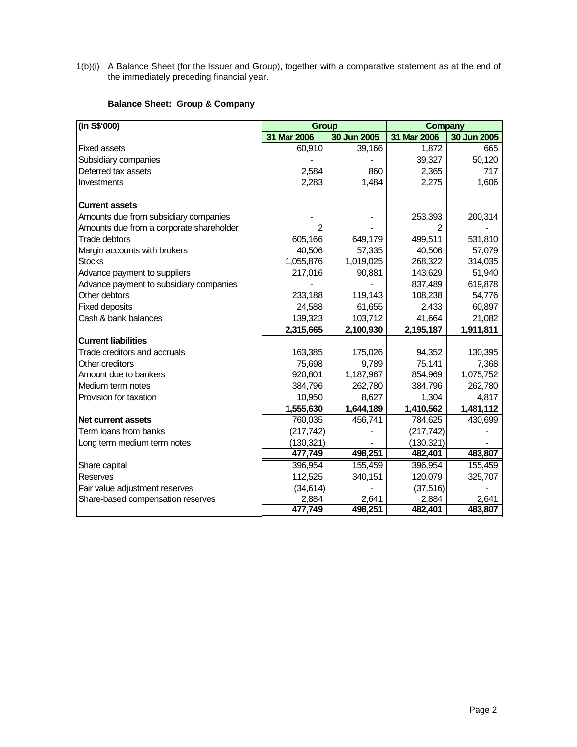1(b)(i) A Balance Sheet (for the Issuer and Group), together with a comparative statement as at the end of the immediately preceding financial year.

# **Balance Sheet: Group & Company**

| (in S\$'000)                             | <b>Group</b> |             | <b>Company</b> |             |
|------------------------------------------|--------------|-------------|----------------|-------------|
|                                          | 31 Mar 2006  | 30 Jun 2005 | 31 Mar 2006    | 30 Jun 2005 |
| <b>Fixed assets</b>                      | 60,910       | 39,166      | 1,872          | 665         |
| Subsidiary companies                     |              |             | 39,327         | 50,120      |
| Deferred tax assets                      | 2,584        | 860         | 2,365          | 717         |
| Investments                              | 2,283        | 1,484       | 2,275          | 1,606       |
| <b>Current assets</b>                    |              |             |                |             |
| Amounts due from subsidiary companies    |              |             | 253,393        | 200,314     |
| Amounts due from a corporate shareholder | 2            |             |                |             |
| Trade debtors                            | 605,166      | 649,179     | 499,511        | 531,810     |
| Margin accounts with brokers             | 40,506       | 57,335      | 40,506         | 57,079      |
| <b>Stocks</b>                            | 1,055,876    | 1,019,025   | 268,322        | 314,035     |
| Advance payment to suppliers             | 217,016      | 90,881      | 143,629        | 51,940      |
| Advance payment to subsidiary companies  |              |             | 837,489        | 619,878     |
| Other debtors                            | 233,188      | 119,143     | 108,238        | 54,776      |
| <b>Fixed deposits</b>                    | 24,588       | 61,655      | 2,433          | 60,897      |
| Cash & bank balances                     | 139,323      | 103,712     | 41,664         | 21,082      |
|                                          | 2,315,665    | 2,100,930   | 2,195,187      | 1,911,811   |
| <b>Current liabilities</b>               |              |             |                |             |
| Trade creditors and accruals             | 163,385      | 175,026     | 94,352         | 130,395     |
| Other creditors                          | 75,698       | 9,789       | 75,141         | 7,368       |
| Amount due to bankers                    | 920,801      | 1,187,967   | 854,969        | 1,075,752   |
| Medium term notes                        | 384,796      | 262,780     | 384,796        | 262,780     |
| Provision for taxation                   | 10,950       | 8,627       | 1,304          | 4,817       |
|                                          | 1,555,630    | 1,644,189   | 1,410,562      | 1,481,112   |
| <b>Net current assets</b>                | 760,035      | 456,741     | 784,625        | 430,699     |
| Term loans from banks                    | (217, 742)   |             | (217, 742)     |             |
| Long term medium term notes              | (130, 321)   |             | (130, 321)     |             |
|                                          | 477,749      | 498,251     | 482,401        | 483,807     |
| Share capital                            | 396,954      | 155,459     | 396,954        | 155,459     |
| Reserves                                 | 112,525      | 340,151     | 120,079        | 325,707     |
| Fair value adjustment reserves           | (34, 614)    |             | (37, 516)      |             |
| Share-based compensation reserves        | 2,884        | 2,641       | 2,884          | 2,641       |
|                                          | 477,749      | 498,251     | 482,401        | 483,807     |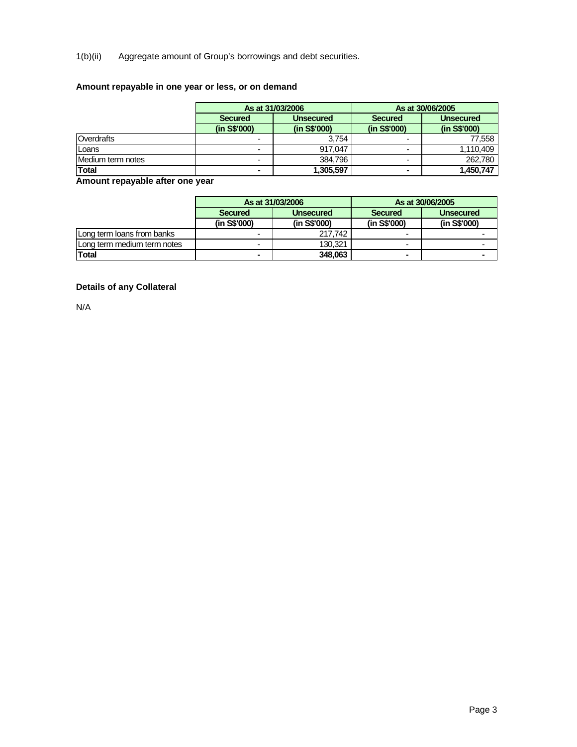1(b)(ii) Aggregate amount of Group's borrowings and debt securities.

# **Amount repayable in one year or less, or on demand**

|                   |                          | As at 31/03/2006 |                | As at 30/06/2005 |
|-------------------|--------------------------|------------------|----------------|------------------|
|                   | <b>Secured</b>           | <b>Unsecured</b> | <b>Secured</b> | <b>Unsecured</b> |
|                   | (in S\$'000)             | (in S\$'000)     | (in S\$'000)   | (in S\$'000)     |
| Overdrafts        | $\overline{\phantom{0}}$ | 3.754            |                | 77,558           |
| Loans             | $\overline{\phantom{0}}$ | 917.047          |                | 1,110,409        |
| Medium term notes | -                        | 384.796          |                | 262.780          |
| <b>Total</b>      | $\blacksquare$           | 1,305,597        | $\blacksquare$ | 1,450,747        |

**Amount repayable after one year** 

|                             |                             | As at 31/03/2006 |                | As at 30/06/2005 |  |
|-----------------------------|-----------------------------|------------------|----------------|------------------|--|
|                             | <b>Secured</b><br>Unsecured |                  | <b>Secured</b> | <b>Unsecured</b> |  |
|                             | (in S\$'000)                | (in S\$'000)     | (in S\$'000)   | (in S\$'000)     |  |
| Long term loans from banks  | -                           | 217.742          |                |                  |  |
| Long term medium term notes | -                           | 130,321          |                |                  |  |
| <b>Total</b>                |                             | 348.063          |                |                  |  |

# **Details of any Collateral**

N/A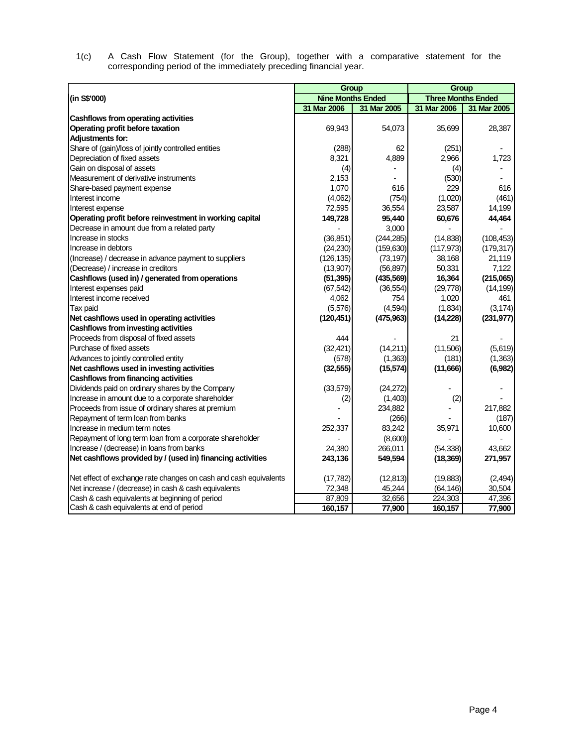1(c) A Cash Flow Statement (for the Group), together with a comparative statement for the corresponding period of the immediately preceding financial year.

|                                                                  | Group                    |             | Group                     |             |  |
|------------------------------------------------------------------|--------------------------|-------------|---------------------------|-------------|--|
| (in S\$'000)                                                     | <b>Nine Months Ended</b> |             | <b>Three Months Ended</b> |             |  |
|                                                                  | 31 Mar 2006              | 31 Mar 2005 | 31 Mar 2006               | 31 Mar 2005 |  |
| Cashflows from operating activities                              |                          |             |                           |             |  |
| Operating profit before taxation                                 | 69,943                   | 54,073      | 35,699                    | 28,387      |  |
| <b>Adjustments for:</b>                                          |                          |             |                           |             |  |
| Share of (gain)/loss of jointly controlled entities              | (288)                    | 62          | (251)                     |             |  |
| Depreciation of fixed assets                                     | 8,321                    | 4,889       | 2,966                     | 1,723       |  |
| Gain on disposal of assets                                       | (4)                      |             | (4)                       |             |  |
| Measurement of derivative instruments                            | 2,153                    |             | (530)                     |             |  |
| Share-based payment expense                                      | 1,070                    | 616         | 229                       | 616         |  |
| Interest income                                                  | (4,062)                  | (754)       | (1,020)                   | (461)       |  |
| Interest expense                                                 | 72,595                   | 36,554      | 23,587                    | 14,199      |  |
| Operating profit before reinvestment in working capital          | 149,728                  | 95,440      | 60,676                    | 44,464      |  |
| Decrease in amount due from a related party                      |                          | 3,000       |                           |             |  |
| Increase in stocks                                               | (36, 851)                | (244, 285)  | (14, 838)                 | (108, 453)  |  |
| Increase in debtors                                              | (24, 230)                | (159, 630)  | (117, 973)                | (179, 317)  |  |
| (Increase) / decrease in advance payment to suppliers            | (126, 135)               | (73, 197)   | 38,168                    | 21,119      |  |
| (Decrease) / increase in creditors                               | (13,907)                 | (56, 897)   | 50,331                    | 7,122       |  |
| Cashflows (used in) / generated from operations                  | (51, 395)                | (435, 569)  | 16,364                    | (215,065)   |  |
| Interest expenses paid                                           | (67, 542)                | (36, 554)   | (29, 778)                 | (14, 199)   |  |
| Interest income received                                         | 4,062                    | 754         | 1,020                     | 461         |  |
| Tax paid                                                         | (5,576)                  | (4, 594)    | (1,834)                   | (3, 174)    |  |
| Net cashflows used in operating activities                       | (120, 451)               | (475, 963)  | (14, 228)                 | (231, 977)  |  |
| Cashflows from investing activities                              |                          |             |                           |             |  |
| Proceeds from disposal of fixed assets                           | 444                      |             | 21                        |             |  |
| Purchase of fixed assets                                         | (32, 421)                | (14,211)    | (11,506)                  | (5,619)     |  |
| Advances to jointly controlled entity                            | (578)                    | (1,363)     | (181)                     | (1,363)     |  |
| Net cashflows used in investing activities                       | (32, 555)                | (15, 574)   | (11,666)                  | (6,982)     |  |
| <b>Cashflows from financing activities</b>                       |                          |             |                           |             |  |
| Dividends paid on ordinary shares by the Company                 | (33, 579)                | (24, 272)   |                           |             |  |
| Increase in amount due to a corporate shareholder                | (2)                      | (1,403)     | (2)                       |             |  |
| Proceeds from issue of ordinary shares at premium                |                          | 234,882     |                           | 217,882     |  |
| Repayment of term loan from banks                                |                          | (266)       |                           | (187)       |  |
| Increase in medium term notes                                    | 252,337                  | 83,242      | 35,971                    | 10,600      |  |
| Repayment of long term loan from a corporate shareholder         |                          | (8,600)     |                           |             |  |
| Increase / (decrease) in loans from banks                        | 24,380                   | 266,011     | (54, 338)                 | 43,662      |  |
| Net cashflows provided by / (used in) financing activities       | 243,136                  | 549,594     | (18, 369)                 | 271,957     |  |
| Net effect of exchange rate changes on cash and cash equivalents | (17, 782)                | (12, 813)   | (19, 883)                 | (2, 494)    |  |
| Net increase / (decrease) in cash & cash equivalents             | 72,348                   | 45,244      | (64, 146)                 | 30,504      |  |
| Cash & cash equivalents at beginning of period                   | 87,809                   | 32,656      | 224,303                   | 47,396      |  |
| Cash & cash equivalents at end of period                         | 160,157                  | 77,900      | 160,157                   | 77,900      |  |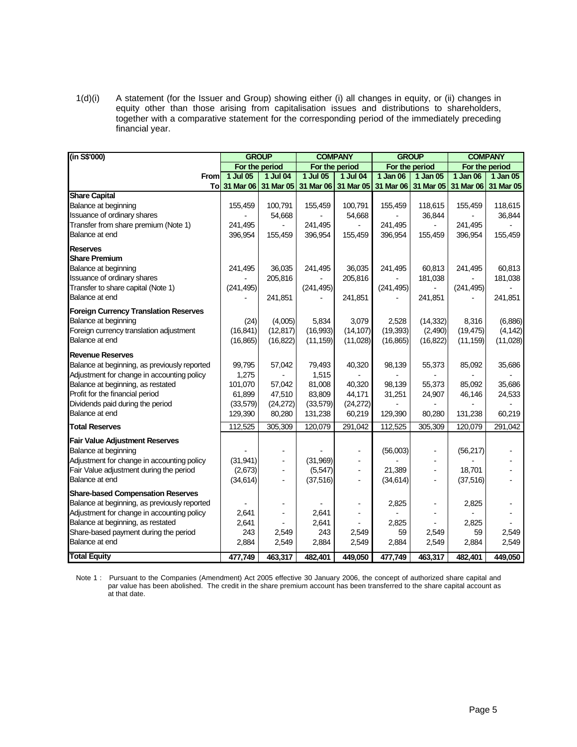1(d)(i) A statement (for the Issuer and Group) showing either (i) all changes in equity, or (ii) changes in equity other than those arising from capitalisation issues and distributions to shareholders, together with a comparative statement for the corresponding period of the immediately preceding financial year.

| (in S\$'000)                                 |            | <b>GROUP</b>   |            | <b>COMPANY</b>           |            | <b>GROUP</b>             | <b>COMPANY</b> |                |  |
|----------------------------------------------|------------|----------------|------------|--------------------------|------------|--------------------------|----------------|----------------|--|
|                                              |            | For the period |            | For the period           |            | For the period           |                | For the period |  |
| From                                         | 1 Jul 05   | 1 Jul 04       | 1 Jul 05   | 1 Jul 04                 | 1 Jan 06   | $1$ Jan 05               | 1 Jan 06       | 1 Jan 05       |  |
| Tol                                          | 31 Mar 06  | 31 Mar 05      |            | 31 Mar 06 31 Mar 05      | 31 Mar 06  | 31 Mar 05                | 31 Mar 06      | 31 Mar 05      |  |
| <b>Share Capital</b>                         |            |                |            |                          |            |                          |                |                |  |
| Balance at beginning                         | 155,459    | 100,791        | 155,459    | 100,791                  | 155,459    | 118,615                  | 155,459        | 118,615        |  |
| Issuance of ordinary shares                  |            | 54,668         |            | 54,668                   |            | 36,844                   |                | 36,844         |  |
| Transfer from share premium (Note 1)         | 241,495    |                | 241,495    |                          | 241,495    |                          | 241,495        |                |  |
| Balance at end                               | 396,954    | 155,459        | 396,954    | 155,459                  | 396,954    | 155,459                  | 396,954        | 155,459        |  |
| <b>Reserves</b>                              |            |                |            |                          |            |                          |                |                |  |
| <b>Share Premium</b>                         |            |                |            |                          |            |                          |                |                |  |
| Balance at beginning                         | 241,495    | 36,035         | 241,495    | 36,035                   | 241,495    | 60,813                   | 241,495        | 60,813         |  |
| Issuance of ordinary shares                  |            | 205,816        |            | 205,816                  |            | 181,038                  |                | 181,038        |  |
| Transfer to share capital (Note 1)           | (241, 495) |                | (241, 495) |                          | (241, 495) |                          | (241, 495)     |                |  |
| Balance at end                               |            | 241,851        |            | 241,851                  |            | 241,851                  |                | 241,851        |  |
| <b>Foreign Currency Translation Reserves</b> |            |                |            |                          |            |                          |                |                |  |
| Balance at beginning                         | (24)       | (4,005)        | 5,834      | 3,079                    | 2,528      | (14, 332)                | 8,316          | (6,886)        |  |
| Foreign currency translation adjustment      | (16, 841)  | (12, 817)      | (16,993)   | (14, 107)                | (19, 393)  | (2, 490)                 | (19, 475)      | (4, 142)       |  |
| Balance at end                               | (16, 865)  | (16, 822)      | (11, 159)  | (11,028)                 | (16, 865)  | (16, 822)                | (11, 159)      | (11,028)       |  |
|                                              |            |                |            |                          |            |                          |                |                |  |
| <b>Revenue Reserves</b>                      |            |                |            |                          |            |                          |                |                |  |
| Balance at beginning, as previously reported | 99,795     | 57,042         | 79,493     | 40,320                   | 98,139     | 55,373                   | 85,092         | 35,686         |  |
| Adjustment for change in accounting policy   | 1,275      |                | 1,515      |                          |            |                          |                |                |  |
| Balance at beginning, as restated            | 101,070    | 57,042         | 81,008     | 40.320                   | 98,139     | 55,373                   | 85.092         | 35,686         |  |
| Profit for the financial period              | 61,899     | 47,510         | 83,809     | 44,171                   | 31,251     | 24,907                   | 46,146         | 24,533         |  |
| Dividends paid during the period             | (33,579)   | (24, 272)      | (33, 579)  | (24, 272)                |            |                          |                |                |  |
| Balance at end                               | 129,390    | 80,280         | 131,238    | 60,219                   | 129,390    | 80,280                   | 131,238        | 60,219         |  |
| <b>Total Reserves</b>                        | 112,525    | 305,309        | 120,079    | 291,042                  | 112,525    | 305,309                  | 120,079        | 291,042        |  |
| <b>Fair Value Adjustment Reserves</b>        |            |                |            |                          |            |                          |                |                |  |
| Balance at beginning                         |            | $\overline{a}$ |            |                          | (56,003)   | $\overline{\phantom{a}}$ | (56, 217)      |                |  |
| Adjustment for change in accounting policy   | (31,941)   |                | (31,969)   |                          |            |                          |                |                |  |
| Fair Value adjustment during the period      | (2,673)    | $\blacksquare$ | (5,547)    | $\overline{\phantom{a}}$ | 21,389     |                          | 18,701         |                |  |
| Balance at end                               | (34, 614)  |                | (37, 516)  |                          | (34, 614)  | $\overline{a}$           | (37, 516)      |                |  |
| <b>Share-based Compensation Reserves</b>     |            |                |            |                          |            |                          |                |                |  |
| Balance at beginning, as previously reported |            |                |            |                          | 2,825      |                          | 2,825          |                |  |
| Adjustment for change in accounting policy   | 2,641      |                | 2,641      |                          |            |                          |                |                |  |
| Balance at beginning, as restated            | 2,641      |                | 2,641      |                          | 2,825      |                          | 2,825          |                |  |
| Share-based payment during the period        | 243        | 2,549          | 243        | 2,549                    | 59         | 2,549                    | 59             | 2,549          |  |
| Balance at end                               | 2,884      | 2,549          | 2,884      | 2,549                    | 2,884      | 2,549                    | 2,884          | 2,549          |  |
|                                              |            |                |            |                          |            |                          |                |                |  |
| <b>Total Equity</b>                          | 477,749    | 463,317        | 482,401    | 449,050                  | 477,749    | 463,317                  | 482,401        | 449,050        |  |

Note 1 : Pursuant to the Companies (Amendment) Act 2005 effective 30 January 2006, the concept of authorized share capital and par value has been abolished. The credit in the share premium account has been transferred to the share capital account as at that date.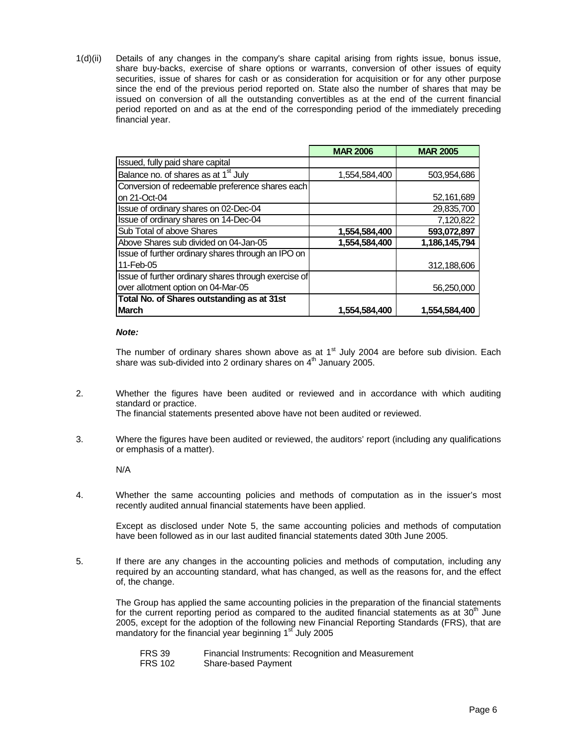1(d)(ii) Details of any changes in the company's share capital arising from rights issue, bonus issue, share buy-backs, exercise of share options or warrants, conversion of other issues of equity securities, issue of shares for cash or as consideration for acquisition or for any other purpose since the end of the previous period reported on. State also the number of shares that may be issued on conversion of all the outstanding convertibles as at the end of the current financial period reported on and as at the end of the corresponding period of the immediately preceding financial year.

|                                                      | <b>MAR 2006</b> | <b>MAR 2005</b> |
|------------------------------------------------------|-----------------|-----------------|
| Issued, fully paid share capital                     |                 |                 |
| Balance no. of shares as at 1 <sup>st</sup> July     | 1,554,584,400   | 503,954,686     |
| Conversion of redeemable preference shares each      |                 |                 |
| on 21-Oct-04                                         |                 | 52,161,689      |
| Issue of ordinary shares on 02-Dec-04                |                 | 29,835,700      |
| Issue of ordinary shares on 14-Dec-04                |                 | 7,120,822       |
| Sub Total of above Shares                            | 1,554,584,400   | 593,072,897     |
| Above Shares sub divided on 04-Jan-05                | 1,554,584,400   | 1,186,145,794   |
| Issue of further ordinary shares through an IPO on   |                 |                 |
| 11-Feb-05                                            |                 | 312,188,606     |
| Issue of further ordinary shares through exercise of |                 |                 |
| over allotment option on 04-Mar-05                   |                 | 56,250,000      |
| Total No. of Shares outstanding as at 31st           |                 |                 |
| <b>IMarch</b>                                        | 1,554,584,400   | 1,554,584,400   |

#### *Note:*

The number of ordinary shares shown above as at  $1<sup>st</sup>$  July 2004 are before sub division. Each share was sub-divided into 2 ordinary shares on  $4<sup>th</sup>$  January 2005.

2. Whether the figures have been audited or reviewed and in accordance with which auditing standard or practice.

The financial statements presented above have not been audited or reviewed.

3. Where the figures have been audited or reviewed, the auditors' report (including any qualifications or emphasis of a matter).

N/A

4. Whether the same accounting policies and methods of computation as in the issuer's most recently audited annual financial statements have been applied.

 Except as disclosed under Note 5, the same accounting policies and methods of computation have been followed as in our last audited financial statements dated 30th June 2005.

5. If there are any changes in the accounting policies and methods of computation, including any required by an accounting standard, what has changed, as well as the reasons for, and the effect of, the change.

 The Group has applied the same accounting policies in the preparation of the financial statements for the current reporting period as compared to the audited financial statements as at  $30<sup>th</sup>$  June 2005, except for the adoption of the following new Financial Reporting Standards (FRS), that are mandatory for the financial year beginning  $1<sup>sf</sup>$  July 2005

 FRS 39 Financial Instruments: Recognition and Measurement FRS 102 Share-based Payment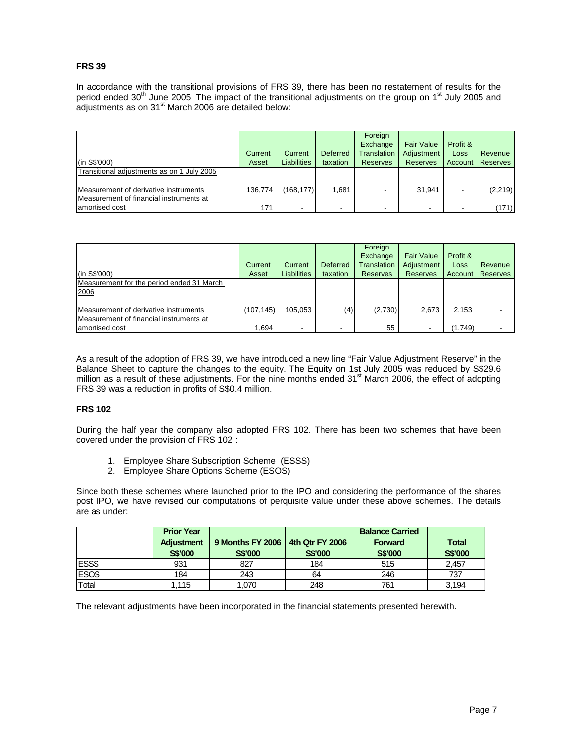#### **FRS 39**

In accordance with the transitional provisions of FRS 39, there has been no restatement of results for the period ended  $30<sup>th</sup>$  June 2005. The impact of the transitional adjustments on the group on 1<sup>st</sup> July 2005 and adjustments as on 31<sup>st</sup> March 2006 are detailed below:

| (in S\$'000)                                                                        | Current<br>Asset | Current<br><b>Liabilities</b> | Deferred<br>taxation | Foreign<br>Exchange<br><b>Translation</b><br><b>Reserves</b> | <b>Fair Value</b><br>Adiustment<br><b>Reserves</b> | Profit &<br>Loss<br>Account | Revenue<br><b>Reserves</b> |
|-------------------------------------------------------------------------------------|------------------|-------------------------------|----------------------|--------------------------------------------------------------|----------------------------------------------------|-----------------------------|----------------------------|
| Transitional adjustments as on 1 July 2005<br>Measurement of derivative instruments | 136.774          | (168.177)                     | 1.681                |                                                              | 31.941                                             |                             | (2, 219)                   |
| Measurement of financial instruments at<br>amortised cost                           | 171              |                               | ۰.                   |                                                              | $\overline{\phantom{a}}$                           |                             | (171)                      |

| (in S\$'000)                                                                     | Current<br>Asset | Current<br><b>Liabilities</b> | Deferred<br>taxation | Foreign<br>Exchange<br>Translation<br><b>Reserves</b> | <b>Fair Value</b><br>Adjustment<br><b>Reserves</b> | Profit &<br>Loss<br>Account | Revenue<br>Reserves |
|----------------------------------------------------------------------------------|------------------|-------------------------------|----------------------|-------------------------------------------------------|----------------------------------------------------|-----------------------------|---------------------|
| Measurement for the period ended 31 March<br>2006                                |                  |                               |                      |                                                       |                                                    |                             |                     |
| Measurement of derivative instruments<br>Measurement of financial instruments at | (107, 145)       | 105.053                       | (4)                  | (2,730)                                               | 2,673                                              | 2,153                       |                     |
| amortised cost                                                                   | 1,694            | -                             | -                    | 55                                                    | $\overline{\phantom{a}}$                           | (1,749)                     |                     |

As a result of the adoption of FRS 39, we have introduced a new line "Fair Value Adjustment Reserve" in the Balance Sheet to capture the changes to the equity. The Equity on 1st July 2005 was reduced by S\$29.6 million as a result of these adjustments. For the nine months ended  $31<sup>st</sup>$  March 2006, the effect of adopting FRS 39 was a reduction in profits of S\$0.4 million.

#### **FRS 102**

During the half year the company also adopted FRS 102. There has been two schemes that have been covered under the provision of FRS 102 :

- 1. Employee Share Subscription Scheme (ESSS)
- 2. Employee Share Options Scheme (ESOS)

Since both these schemes where launched prior to the IPO and considering the performance of the shares post IPO, we have revised our computations of perquisite value under these above schemes. The details are as under:

|              | <b>Prior Year</b><br><b>Adjustment</b><br><b>S\$'000</b> | 9 Months FY 2006<br><b>S\$'000</b> | 4th Qtr FY 2006<br><b>S\$'000</b> | <b>Balance Carried</b><br><b>Forward</b><br><b>S\$'000</b> | <b>Total</b><br><b>S\$'000</b> |
|--------------|----------------------------------------------------------|------------------------------------|-----------------------------------|------------------------------------------------------------|--------------------------------|
| <b>IESSS</b> | 931                                                      | 827                                | 184                               | 515                                                        | 2.457                          |
| <b>ESOS</b>  | 184                                                      | 243                                | 64                                | 246                                                        | 737                            |
| Total        | .115                                                     | 1.070                              | 248                               | 761                                                        | 3,194                          |

The relevant adjustments have been incorporated in the financial statements presented herewith.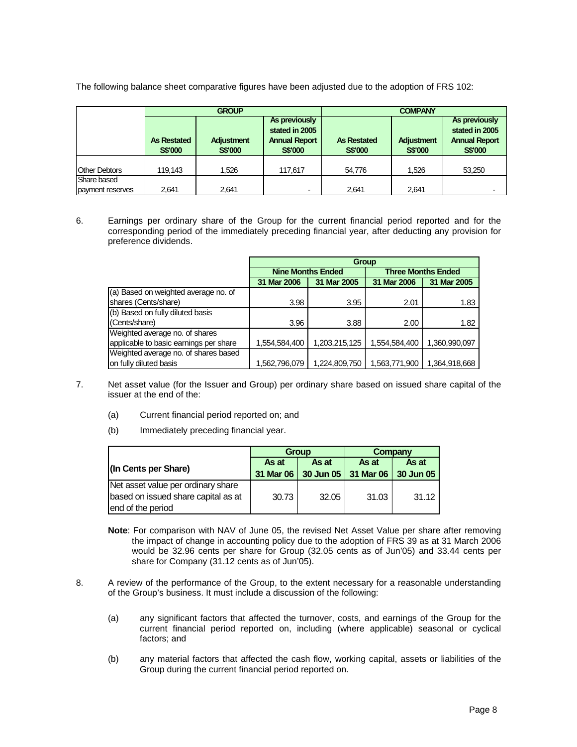The following balance sheet comparative figures have been adjusted due to the adoption of FRS 102:

|                                 |                                      | <b>GROUP</b>                        |                                                                           | <b>COMPANY</b>                       |                              |                                                                           |  |
|---------------------------------|--------------------------------------|-------------------------------------|---------------------------------------------------------------------------|--------------------------------------|------------------------------|---------------------------------------------------------------------------|--|
|                                 | <b>As Restated</b><br><b>S\$'000</b> | <b>Adjustment</b><br><b>S\$'000</b> | As previously<br>stated in 2005<br><b>Annual Report</b><br><b>S\$'000</b> | <b>As Restated</b><br><b>S\$'000</b> | Adjustment<br><b>S\$'000</b> | As previously<br>stated in 2005<br><b>Annual Report</b><br><b>S\$'000</b> |  |
| <b>Other Debtors</b>            | 119.143                              | 1.526                               | 117,617                                                                   | 54.776                               | 1,526                        | 53,250                                                                    |  |
| Share based<br>payment reserves | 2.641                                | 2.641                               | $\blacksquare$                                                            | 2.641                                | 2.641                        | $\overline{\phantom{0}}$                                                  |  |

6. Earnings per ordinary share of the Group for the current financial period reported and for the corresponding period of the immediately preceding financial year, after deducting any provision for preference dividends.

|                                        | Group                    |               |                           |               |  |  |  |
|----------------------------------------|--------------------------|---------------|---------------------------|---------------|--|--|--|
|                                        | <b>Nine Months Ended</b> |               | <b>Three Months Ended</b> |               |  |  |  |
|                                        | 31 Mar 2006              | 31 Mar 2005   | 31 Mar 2006               | 31 Mar 2005   |  |  |  |
| (a) Based on weighted average no. of   |                          |               |                           |               |  |  |  |
| shares (Cents/share)                   | 3.98                     | 3.95          | 2.01                      | 1.83          |  |  |  |
| (b) Based on fully diluted basis       |                          |               |                           |               |  |  |  |
| (Cents/share)                          | 3.96                     | 3.88          | 2.00                      | 1.82          |  |  |  |
| Weighted average no. of shares         |                          |               |                           |               |  |  |  |
| applicable to basic earnings per share | 1,554,584,400            | 1,203,215,125 | 1,554,584,400             | 1,360,990,097 |  |  |  |
| Weighted average no. of shares based   |                          |               |                           |               |  |  |  |
| on fully diluted basis                 | 1,562,796,079            | 1,224,809,750 | 1,563,771,900             | 1,364,918,668 |  |  |  |

- 7. Net asset value (for the Issuer and Group) per ordinary share based on issued share capital of the issuer at the end of the:
	- (a) Current financial period reported on; and
	- (b) Immediately preceding financial year.

|                                     |       | <b>Group</b>                  | Company |           |  |
|-------------------------------------|-------|-------------------------------|---------|-----------|--|
|                                     | As at | As at                         | As at   | As at     |  |
| (In Cents per Share)                |       | 31 Mar 06 30 Jun 05 31 Mar 06 |         | 30 Jun 05 |  |
| Net asset value per ordinary share  |       |                               |         |           |  |
| based on issued share capital as at | 30.73 | 32.05                         | 31.03   | 31.12     |  |
| end of the period                   |       |                               |         |           |  |

**Note**: For comparison with NAV of June 05, the revised Net Asset Value per share after removing the impact of change in accounting policy due to the adoption of FRS 39 as at 31 March 2006 would be 32.96 cents per share for Group (32.05 cents as of Jun'05) and 33.44 cents per share for Company (31.12 cents as of Jun'05).

- 8. A review of the performance of the Group, to the extent necessary for a reasonable understanding of the Group's business. It must include a discussion of the following:
	- (a) any significant factors that affected the turnover, costs, and earnings of the Group for the current financial period reported on, including (where applicable) seasonal or cyclical factors; and
	- (b) any material factors that affected the cash flow, working capital, assets or liabilities of the Group during the current financial period reported on.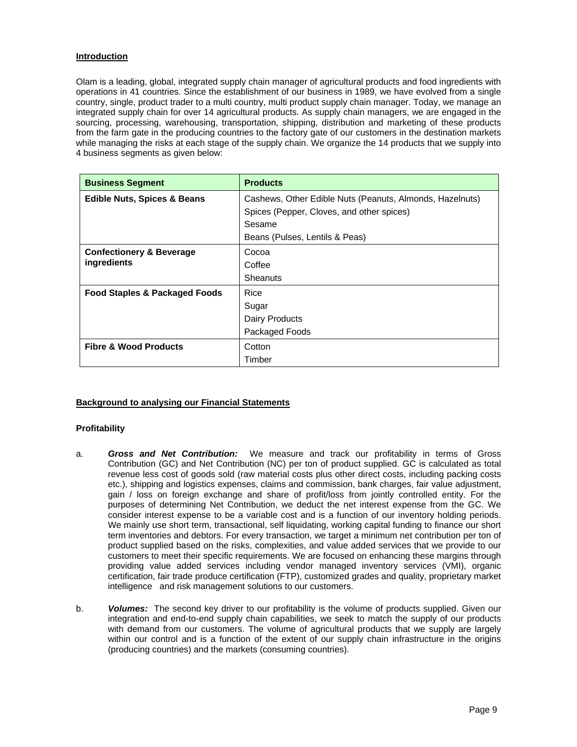## **Introduction**

Olam is a leading, global, integrated supply chain manager of agricultural products and food ingredients with operations in 41 countries. Since the establishment of our business in 1989, we have evolved from a single country, single, product trader to a multi country, multi product supply chain manager. Today, we manage an integrated supply chain for over 14 agricultural products. As supply chain managers, we are engaged in the sourcing, processing, warehousing, transportation, shipping, distribution and marketing of these products from the farm gate in the producing countries to the factory gate of our customers in the destination markets while managing the risks at each stage of the supply chain. We organize the 14 products that we supply into 4 business segments as given below:

| <b>Business Segment</b>                | <b>Products</b>                                          |  |  |  |
|----------------------------------------|----------------------------------------------------------|--|--|--|
| <b>Edible Nuts, Spices &amp; Beans</b> | Cashews, Other Edible Nuts (Peanuts, Almonds, Hazelnuts) |  |  |  |
|                                        | Spices (Pepper, Cloves, and other spices)                |  |  |  |
|                                        | Sesame                                                   |  |  |  |
|                                        | Beans (Pulses, Lentils & Peas)                           |  |  |  |
| <b>Confectionery &amp; Beverage</b>    | Cocoa                                                    |  |  |  |
| ingredients                            | Coffee                                                   |  |  |  |
|                                        | <b>Sheanuts</b>                                          |  |  |  |
| Food Staples & Packaged Foods          | Rice                                                     |  |  |  |
|                                        | Sugar                                                    |  |  |  |
|                                        | Dairy Products                                           |  |  |  |
|                                        | Packaged Foods                                           |  |  |  |
| <b>Fibre &amp; Wood Products</b>       | Cotton                                                   |  |  |  |
|                                        | Timber                                                   |  |  |  |

## **Background to analysing our Financial Statements**

#### **Profitability**

- a. *Gross and Net Contribution:* We measure and track our profitability in terms of Gross Contribution (GC) and Net Contribution (NC) per ton of product supplied. GC is calculated as total revenue less cost of goods sold (raw material costs plus other direct costs, including packing costs etc.), shipping and logistics expenses, claims and commission, bank charges, fair value adjustment, gain / loss on foreign exchange and share of profit/loss from jointly controlled entity. For the purposes of determining Net Contribution, we deduct the net interest expense from the GC. We consider interest expense to be a variable cost and is a function of our inventory holding periods. We mainly use short term, transactional, self liquidating, working capital funding to finance our short term inventories and debtors. For every transaction, we target a minimum net contribution per ton of product supplied based on the risks, complexities, and value added services that we provide to our customers to meet their specific requirements. We are focused on enhancing these margins through providing value added services including vendor managed inventory services (VMI), organic certification, fair trade produce certification (FTP), customized grades and quality, proprietary market intelligence and risk management solutions to our customers.
- b. *Volumes:* The second key driver to our profitability is the volume of products supplied. Given our integration and end-to-end supply chain capabilities, we seek to match the supply of our products with demand from our customers. The volume of agricultural products that we supply are largely within our control and is a function of the extent of our supply chain infrastructure in the origins (producing countries) and the markets (consuming countries).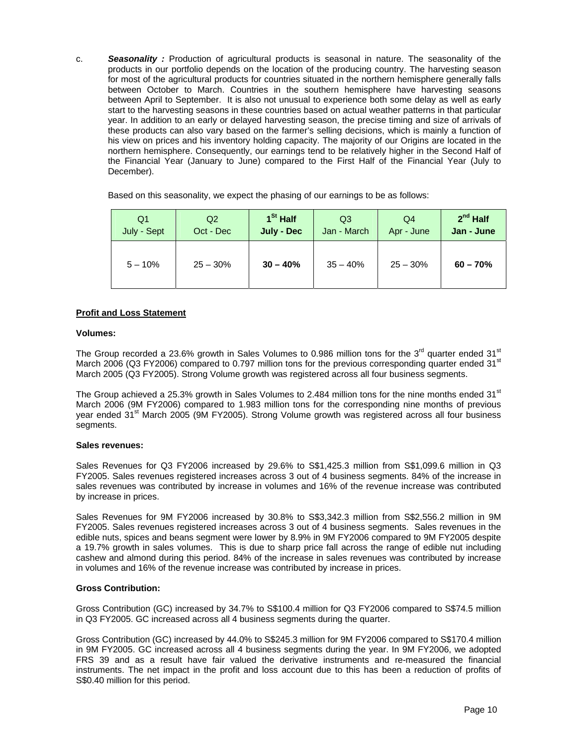c. *Seasonality :* Production of agricultural products is seasonal in nature. The seasonality of the products in our portfolio depends on the location of the producing country. The harvesting season for most of the agricultural products for countries situated in the northern hemisphere generally falls between October to March. Countries in the southern hemisphere have harvesting seasons between April to September. It is also not unusual to experience both some delay as well as early start to the harvesting seasons in these countries based on actual weather patterns in that particular year. In addition to an early or delayed harvesting season, the precise timing and size of arrivals of these products can also vary based on the farmer's selling decisions, which is mainly a function of his view on prices and his inventory holding capacity. The majority of our Origins are located in the northern hemisphere. Consequently, our earnings tend to be relatively higher in the Second Half of the Financial Year (January to June) compared to the First Half of the Financial Year (July to December).

Based on this seasonality, we expect the phasing of our earnings to be as follows:

| Q1          | Q2         | 1 <sup>St</sup> Half | Q3          | Q4         | $2nd$ Half |
|-------------|------------|----------------------|-------------|------------|------------|
| July - Sept | Oct - Dec  | <b>July - Dec</b>    | Jan - March | Apr - June | Jan - June |
| $5 - 10%$   | $25 - 30%$ | $30 - 40%$           | $35 - 40%$  | $25 - 30%$ | $60 - 70%$ |

## **Profit and Loss Statement**

#### **Volumes:**

The Group recorded a 23.6% growth in Sales Volumes to 0.986 million tons for the 3<sup>rd</sup> quarter ended 31<sup>st</sup> March 2006 (Q3 FY2006) compared to 0.797 million tons for the previous corresponding quarter ended  $31<sup>st</sup>$ March 2005 (Q3 FY2005). Strong Volume growth was registered across all four business segments.

The Group achieved a 25.3% growth in Sales Volumes to 2.484 million tons for the nine months ended 31 $^{\rm st}$ March 2006 (9M FY2006) compared to 1.983 million tons for the corresponding nine months of previous year ended 31<sup>st</sup> March 2005 (9M FY2005). Strong Volume growth was registered across all four business segments.

#### **Sales revenues:**

Sales Revenues for Q3 FY2006 increased by 29.6% to S\$1,425.3 million from S\$1,099.6 million in Q3 FY2005. Sales revenues registered increases across 3 out of 4 business segments. 84% of the increase in sales revenues was contributed by increase in volumes and 16% of the revenue increase was contributed by increase in prices.

Sales Revenues for 9M FY2006 increased by 30.8% to S\$3,342.3 million from S\$2,556.2 million in 9M FY2005. Sales revenues registered increases across 3 out of 4 business segments. Sales revenues in the edible nuts, spices and beans segment were lower by 8.9% in 9M FY2006 compared to 9M FY2005 despite a 19.7% growth in sales volumes. This is due to sharp price fall across the range of edible nut including cashew and almond during this period. 84% of the increase in sales revenues was contributed by increase in volumes and 16% of the revenue increase was contributed by increase in prices.

## **Gross Contribution:**

Gross Contribution (GC) increased by 34.7% to S\$100.4 million for Q3 FY2006 compared to S\$74.5 million in Q3 FY2005. GC increased across all 4 business segments during the quarter.

Gross Contribution (GC) increased by 44.0% to S\$245.3 million for 9M FY2006 compared to S\$170.4 million in 9M FY2005. GC increased across all 4 business segments during the year. In 9M FY2006, we adopted FRS 39 and as a result have fair valued the derivative instruments and re-measured the financial instruments. The net impact in the profit and loss account due to this has been a reduction of profits of S\$0.40 million for this period.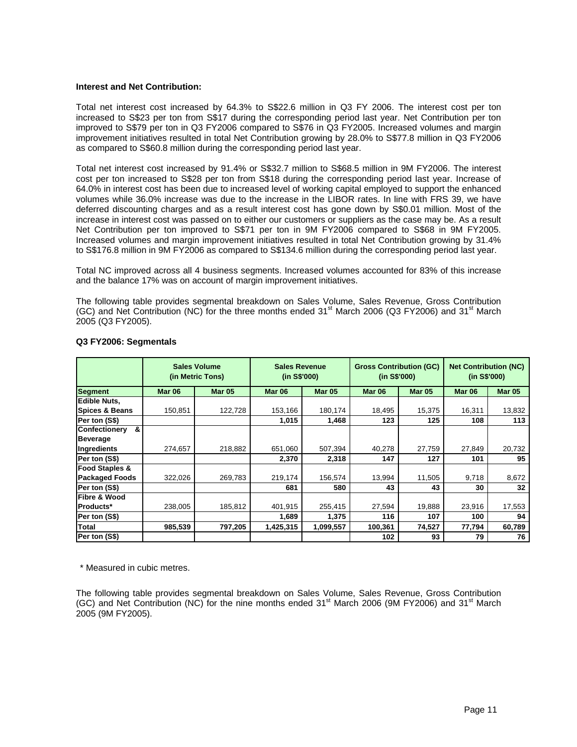#### **Interest and Net Contribution:**

Total net interest cost increased by 64.3% to S\$22.6 million in Q3 FY 2006. The interest cost per ton increased to S\$23 per ton from S\$17 during the corresponding period last year. Net Contribution per ton improved to S\$79 per ton in Q3 FY2006 compared to S\$76 in Q3 FY2005. Increased volumes and margin improvement initiatives resulted in total Net Contribution growing by 28.0% to S\$77.8 million in Q3 FY2006 as compared to S\$60.8 million during the corresponding period last year.

Total net interest cost increased by 91.4% or S\$32.7 million to S\$68.5 million in 9M FY2006. The interest cost per ton increased to S\$28 per ton from S\$18 during the corresponding period last year. Increase of 64.0% in interest cost has been due to increased level of working capital employed to support the enhanced volumes while 36.0% increase was due to the increase in the LIBOR rates. In line with FRS 39, we have deferred discounting charges and as a result interest cost has gone down by S\$0.01 million. Most of the increase in interest cost was passed on to either our customers or suppliers as the case may be. As a result Net Contribution per ton improved to S\$71 per ton in 9M FY2006 compared to S\$68 in 9M FY2005. Increased volumes and margin improvement initiatives resulted in total Net Contribution growing by 31.4% to S\$176.8 million in 9M FY2006 as compared to S\$134.6 million during the corresponding period last year.

Total NC improved across all 4 business segments. Increased volumes accounted for 83% of this increase and the balance 17% was on account of margin improvement initiatives.

The following table provides segmental breakdown on Sales Volume, Sales Revenue, Gross Contribution (GC) and Net Contribution (NC) for the three months ended 31<sup>st</sup> March 2006 (Q3 FY2006) and 31<sup>st</sup> March 2005 (Q3 FY2005).

|                           |               | <b>Sales Volume</b><br><b>Sales Revenue</b><br><b>Gross Contribution (GC)</b><br>(in S\$'000)<br>(in S\$'000)<br>(in Metric Tons) |               |               | <b>Net Contribution (NC)</b><br>(in S\$'000) |               |               |               |
|---------------------------|---------------|-----------------------------------------------------------------------------------------------------------------------------------|---------------|---------------|----------------------------------------------|---------------|---------------|---------------|
| <b>Segment</b>            | <b>Mar 06</b> | <b>Mar 05</b>                                                                                                                     | <b>Mar 06</b> | <b>Mar 05</b> | Mar 06                                       | <b>Mar 05</b> | <b>Mar 06</b> | <b>Mar 05</b> |
| <b>Edible Nuts.</b>       |               |                                                                                                                                   |               |               |                                              |               |               |               |
| <b>Spices &amp; Beans</b> | 150.851       | 122,728                                                                                                                           | 153,166       | 180,174       | 18,495                                       | 15,375        | 16,311        | 13,832        |
| Per ton (S\$)             |               |                                                                                                                                   | 1,015         | 1,468         | 123                                          | 125           | 108           | 113           |
| <b>Confectionery</b><br>& |               |                                                                                                                                   |               |               |                                              |               |               |               |
| <b>Beverage</b>           |               |                                                                                                                                   |               |               |                                              |               |               |               |
| Ingredients               | 274,657       | 218,882                                                                                                                           | 651,060       | 507,394       | 40,278                                       | 27,759        | 27,849        | 20,732        |
| Per ton (S\$)             |               |                                                                                                                                   | 2,370         | 2,318         | 147                                          | 127           | 101           | 95            |
| <b>Food Staples &amp;</b> |               |                                                                                                                                   |               |               |                                              |               |               |               |
| <b>Packaged Foods</b>     | 322,026       | 269,783                                                                                                                           | 219,174       | 156,574       | 13,994                                       | 11,505        | 9,718         | 8,672         |
| Per ton (S\$)             |               |                                                                                                                                   | 681           | 580           | 43                                           | 43            | 30            | 32            |
| Fibre & Wood              |               |                                                                                                                                   |               |               |                                              |               |               |               |
| <b>Products*</b>          | 238,005       | 185,812                                                                                                                           | 401,915       | 255,415       | 27,594                                       | 19,888        | 23,916        | 17,553        |
| Per ton (S\$)             |               |                                                                                                                                   | 1,689         | 1,375         | 116                                          | 107           | 100           | 94            |
| <b>Total</b>              | 985,539       | 797,205                                                                                                                           | 1,425,315     | 1,099,557     | 100,361                                      | 74,527        | 77,794        | 60,789        |
| Per ton (S\$)             |               |                                                                                                                                   |               |               | 102                                          | 93            | 79            | 76            |

#### **Q3 FY2006: Segmentals**

\* Measured in cubic metres.

The following table provides segmental breakdown on Sales Volume, Sales Revenue, Gross Contribution (GC) and Net Contribution (NC) for the nine months ended  $31<sup>st</sup>$  March 2006 (9M FY2006) and  $31<sup>st</sup>$  March 2005 (9M FY2005).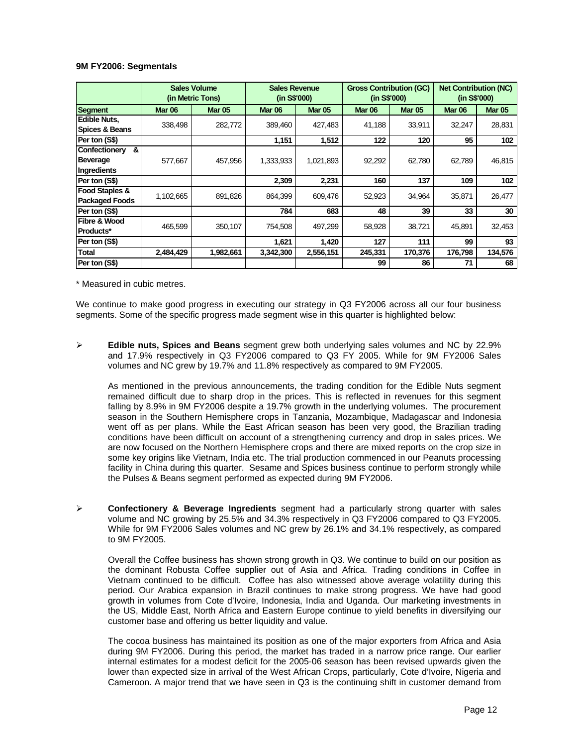#### **9M FY2006: Segmentals**

|                                                      | <b>Sales Volume</b><br>(in Metric Tons) |               |           | <b>Sales Revenue</b><br>(in S\$'000) |         | <b>Gross Contribution (GC)</b><br>(in S\$'000) | <b>Net Contribution (NC)</b><br>(in S\$'000) |               |
|------------------------------------------------------|-----------------------------------------|---------------|-----------|--------------------------------------|---------|------------------------------------------------|----------------------------------------------|---------------|
| Segment                                              | <b>Mar 06</b>                           | <b>Mar 05</b> | Mar 06    | <b>Mar 05</b>                        | Mar 06  | <b>Mar 05</b>                                  | Mar 06                                       | <b>Mar 05</b> |
| <b>Edible Nuts,</b><br><b>Spices &amp; Beans</b>     | 338,498                                 | 282,772       | 389,460   | 427,483                              | 41,188  | 33,911                                         | 32,247                                       | 28,831        |
| Per ton (S\$)                                        |                                         |               | 1,151     | 1,512                                | 122     | 120                                            | 95                                           | 102           |
| <b>Confectionery</b><br>&<br>Beverage<br>Ingredients | 577,667                                 | 457,956       | 1,333,933 | 1,021,893                            | 92,292  | 62,780                                         | 62,789                                       | 46,815        |
| Per ton (S\$)                                        |                                         |               | 2,309     | 2,231                                | 160     | 137                                            | 109                                          | 102           |
| <b>Food Staples &amp;</b><br><b>Packaged Foods</b>   | 1,102,665                               | 891,826       | 864,399   | 609,476                              | 52,923  | 34,964                                         | 35,871                                       | 26,477        |
| Per ton (S\$)                                        |                                         |               | 784       | 683                                  | 48      | 39                                             | 33                                           | 30            |
| <b>Fibre &amp; Wood</b><br><b>Products*</b>          | 465,599                                 | 350,107       | 754,508   | 497,299                              | 58,928  | 38,721                                         | 45,891                                       | 32,453        |
| Per ton (S\$)                                        |                                         |               | 1,621     | 1,420                                | 127     | 111                                            | 99                                           | 93            |
| <b>Total</b>                                         | 2,484,429                               | 1,982,661     | 3,342,300 | 2,556,151                            | 245,331 | 170,376                                        | 176,798                                      | 134,576       |
| Per ton (S\$)                                        |                                         |               |           |                                      | 99      | 86                                             | 71                                           | 68            |

\* Measured in cubic metres.

We continue to make good progress in executing our strategy in Q3 FY2006 across all our four business segments. Some of the specific progress made segment wise in this quarter is highlighted below:

¾ **Edible nuts, Spices and Beans** segment grew both underlying sales volumes and NC by 22.9% and 17.9% respectively in Q3 FY2006 compared to Q3 FY 2005. While for 9M FY2006 Sales volumes and NC grew by 19.7% and 11.8% respectively as compared to 9M FY2005.

As mentioned in the previous announcements, the trading condition for the Edible Nuts segment remained difficult due to sharp drop in the prices. This is reflected in revenues for this segment falling by 8.9% in 9M FY2006 despite a 19.7% growth in the underlying volumes. The procurement season in the Southern Hemisphere crops in Tanzania, Mozambique, Madagascar and Indonesia went off as per plans. While the East African season has been very good, the Brazilian trading conditions have been difficult on account of a strengthening currency and drop in sales prices. We are now focused on the Northern Hemisphere crops and there are mixed reports on the crop size in some key origins like Vietnam, India etc. The trial production commenced in our Peanuts processing facility in China during this quarter. Sesame and Spices business continue to perform strongly while the Pulses & Beans segment performed as expected during 9M FY2006.

¾ **Confectionery & Beverage Ingredients** segment had a particularly strong quarter with sales volume and NC growing by 25.5% and 34.3% respectively in Q3 FY2006 compared to Q3 FY2005. While for 9M FY2006 Sales volumes and NC grew by 26.1% and 34.1% respectively, as compared to 9M FY2005.

Overall the Coffee business has shown strong growth in Q3. We continue to build on our position as the dominant Robusta Coffee supplier out of Asia and Africa. Trading conditions in Coffee in Vietnam continued to be difficult. Coffee has also witnessed above average volatility during this period. Our Arabica expansion in Brazil continues to make strong progress. We have had good growth in volumes from Cote d'Ivoire, Indonesia, India and Uganda. Our marketing investments in the US, Middle East, North Africa and Eastern Europe continue to yield benefits in diversifying our customer base and offering us better liquidity and value.

The cocoa business has maintained its position as one of the major exporters from Africa and Asia during 9M FY2006. During this period, the market has traded in a narrow price range. Our earlier internal estimates for a modest deficit for the 2005-06 season has been revised upwards given the lower than expected size in arrival of the West African Crops, particularly, Cote d'Ivoire, Nigeria and Cameroon. A major trend that we have seen in Q3 is the continuing shift in customer demand from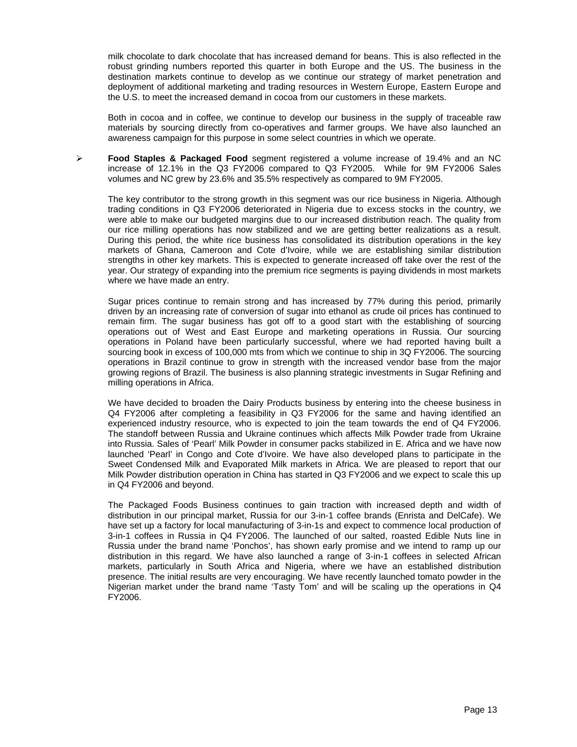milk chocolate to dark chocolate that has increased demand for beans. This is also reflected in the robust grinding numbers reported this quarter in both Europe and the US. The business in the destination markets continue to develop as we continue our strategy of market penetration and deployment of additional marketing and trading resources in Western Europe, Eastern Europe and the U.S. to meet the increased demand in cocoa from our customers in these markets.

Both in cocoa and in coffee, we continue to develop our business in the supply of traceable raw materials by sourcing directly from co-operatives and farmer groups. We have also launched an awareness campaign for this purpose in some select countries in which we operate.

¾ **Food Staples & Packaged Food** segment registered a volume increase of 19.4% and an NC increase of 12.1% in the Q3 FY2006 compared to Q3 FY2005. While for 9M FY2006 Sales volumes and NC grew by 23.6% and 35.5% respectively as compared to 9M FY2005.

The key contributor to the strong growth in this segment was our rice business in Nigeria. Although trading conditions in Q3 FY2006 deteriorated in Nigeria due to excess stocks in the country, we were able to make our budgeted margins due to our increased distribution reach. The quality from our rice milling operations has now stabilized and we are getting better realizations as a result. During this period, the white rice business has consolidated its distribution operations in the key markets of Ghana, Cameroon and Cote d'Ivoire, while we are establishing similar distribution strengths in other key markets. This is expected to generate increased off take over the rest of the year. Our strategy of expanding into the premium rice segments is paying dividends in most markets where we have made an entry.

Sugar prices continue to remain strong and has increased by 77% during this period, primarily driven by an increasing rate of conversion of sugar into ethanol as crude oil prices has continued to remain firm. The sugar business has got off to a good start with the establishing of sourcing operations out of West and East Europe and marketing operations in Russia. Our sourcing operations in Poland have been particularly successful, where we had reported having built a sourcing book in excess of 100,000 mts from which we continue to ship in 3Q FY2006. The sourcing operations in Brazil continue to grow in strength with the increased vendor base from the major growing regions of Brazil. The business is also planning strategic investments in Sugar Refining and milling operations in Africa.

We have decided to broaden the Dairy Products business by entering into the cheese business in Q4 FY2006 after completing a feasibility in Q3 FY2006 for the same and having identified an experienced industry resource, who is expected to join the team towards the end of Q4 FY2006. The standoff between Russia and Ukraine continues which affects Milk Powder trade from Ukraine into Russia. Sales of 'Pearl' Milk Powder in consumer packs stabilized in E. Africa and we have now launched 'Pearl' in Congo and Cote d'Ivoire. We have also developed plans to participate in the Sweet Condensed Milk and Evaporated Milk markets in Africa. We are pleased to report that our Milk Powder distribution operation in China has started in Q3 FY2006 and we expect to scale this up in Q4 FY2006 and beyond.

The Packaged Foods Business continues to gain traction with increased depth and width of distribution in our principal market, Russia for our 3-in-1 coffee brands (Enrista and DelCafe). We have set up a factory for local manufacturing of 3-in-1s and expect to commence local production of 3-in-1 coffees in Russia in Q4 FY2006. The launched of our salted, roasted Edible Nuts line in Russia under the brand name 'Ponchos', has shown early promise and we intend to ramp up our distribution in this regard. We have also launched a range of 3-in-1 coffees in selected African markets, particularly in South Africa and Nigeria, where we have an established distribution presence. The initial results are very encouraging. We have recently launched tomato powder in the Nigerian market under the brand name 'Tasty Tom' and will be scaling up the operations in Q4 FY2006.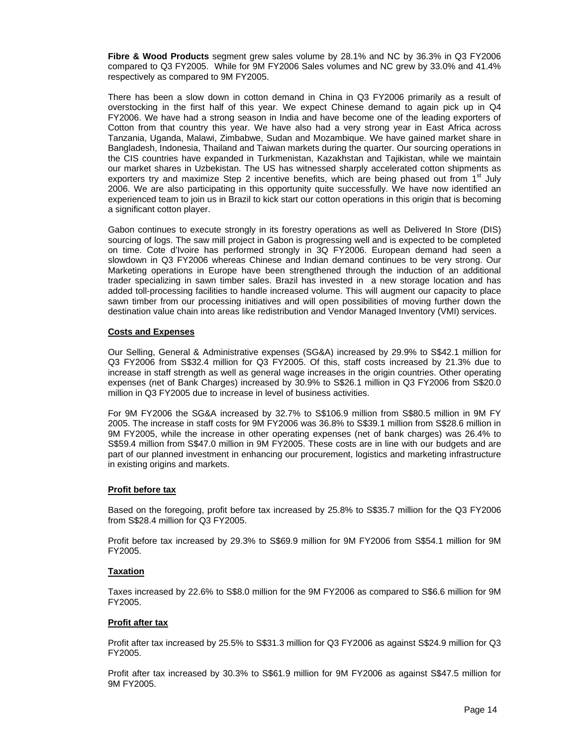**Fibre & Wood Products** segment grew sales volume by 28.1% and NC by 36.3% in Q3 FY2006 compared to Q3 FY2005. While for 9M FY2006 Sales volumes and NC grew by 33.0% and 41.4% respectively as compared to 9M FY2005.

There has been a slow down in cotton demand in China in Q3 FY2006 primarily as a result of overstocking in the first half of this year. We expect Chinese demand to again pick up in Q4 FY2006. We have had a strong season in India and have become one of the leading exporters of Cotton from that country this year. We have also had a very strong year in East Africa across Tanzania, Uganda, Malawi, Zimbabwe, Sudan and Mozambique. We have gained market share in Bangladesh, Indonesia, Thailand and Taiwan markets during the quarter. Our sourcing operations in the CIS countries have expanded in Turkmenistan, Kazakhstan and Tajikistan, while we maintain our market shares in Uzbekistan. The US has witnessed sharply accelerated cotton shipments as exporters try and maximize Step 2 incentive benefits, which are being phased out from  $1<sup>st</sup>$  July 2006. We are also participating in this opportunity quite successfully. We have now identified an experienced team to join us in Brazil to kick start our cotton operations in this origin that is becoming a significant cotton player.

Gabon continues to execute strongly in its forestry operations as well as Delivered In Store (DIS) sourcing of logs. The saw mill project in Gabon is progressing well and is expected to be completed on time. Cote d'Ivoire has performed strongly in 3Q FY2006. European demand had seen a slowdown in Q3 FY2006 whereas Chinese and Indian demand continues to be very strong. Our Marketing operations in Europe have been strengthened through the induction of an additional trader specializing in sawn timber sales. Brazil has invested in a new storage location and has added toll-processing facilities to handle increased volume. This will augment our capacity to place sawn timber from our processing initiatives and will open possibilities of moving further down the destination value chain into areas like redistribution and Vendor Managed Inventory (VMI) services.

## **Costs and Expenses**

Our Selling, General & Administrative expenses (SG&A) increased by 29.9% to S\$42.1 million for Q3 FY2006 from S\$32.4 million for Q3 FY2005. Of this, staff costs increased by 21.3% due to increase in staff strength as well as general wage increases in the origin countries. Other operating expenses (net of Bank Charges) increased by 30.9% to S\$26.1 million in Q3 FY2006 from S\$20.0 million in Q3 FY2005 due to increase in level of business activities.

For 9M FY2006 the SG&A increased by 32.7% to S\$106.9 million from S\$80.5 million in 9M FY 2005. The increase in staff costs for 9M FY2006 was 36.8% to S\$39.1 million from S\$28.6 million in 9M FY2005, while the increase in other operating expenses (net of bank charges) was 26.4% to S\$59.4 million from S\$47.0 million in 9M FY2005. These costs are in line with our budgets and are part of our planned investment in enhancing our procurement, logistics and marketing infrastructure in existing origins and markets.

#### **Profit before tax**

Based on the foregoing, profit before tax increased by 25.8% to S\$35.7 million for the Q3 FY2006 from S\$28.4 million for Q3 FY2005.

Profit before tax increased by 29.3% to S\$69.9 million for 9M FY2006 from S\$54.1 million for 9M FY2005.

#### **Taxation**

Taxes increased by 22.6% to S\$8.0 million for the 9M FY2006 as compared to S\$6.6 million for 9M FY2005.

#### **Profit after tax**

Profit after tax increased by 25.5% to S\$31.3 million for Q3 FY2006 as against S\$24.9 million for Q3 FY2005.

Profit after tax increased by 30.3% to S\$61.9 million for 9M FY2006 as against S\$47.5 million for 9M FY2005.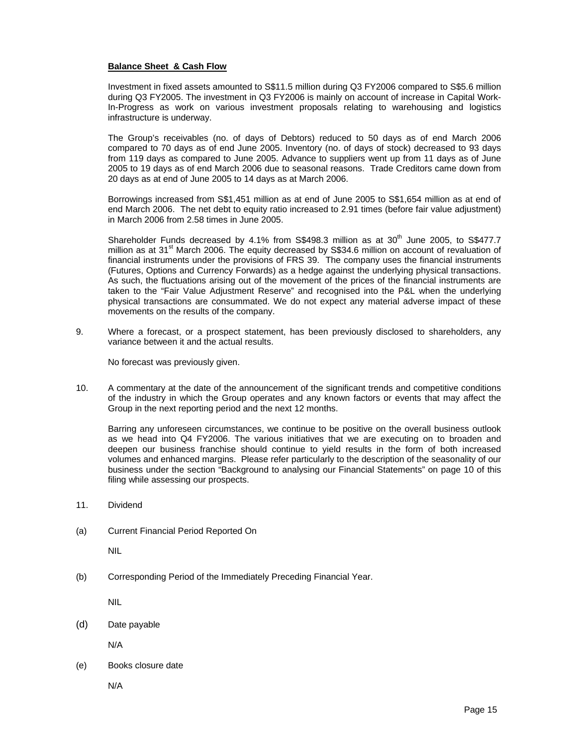#### **Balance Sheet & Cash Flow**

Investment in fixed assets amounted to S\$11.5 million during Q3 FY2006 compared to S\$5.6 million during Q3 FY2005. The investment in Q3 FY2006 is mainly on account of increase in Capital Work-In-Progress as work on various investment proposals relating to warehousing and logistics infrastructure is underway.

The Group's receivables (no. of days of Debtors) reduced to 50 days as of end March 2006 compared to 70 days as of end June 2005. Inventory (no. of days of stock) decreased to 93 days from 119 days as compared to June 2005. Advance to suppliers went up from 11 days as of June 2005 to 19 days as of end March 2006 due to seasonal reasons. Trade Creditors came down from 20 days as at end of June 2005 to 14 days as at March 2006.

Borrowings increased from S\$1,451 million as at end of June 2005 to S\$1,654 million as at end of end March 2006. The net debt to equity ratio increased to 2.91 times (before fair value adjustment) in March 2006 from 2.58 times in June 2005.

Shareholder Funds decreased by 4.1% from S\$498.3 million as at  $30<sup>th</sup>$  June 2005, to S\$477.7 million as at  $31<sup>st</sup>$  March 2006. The equity decreased by S\$34.6 million on account of revaluation of financial instruments under the provisions of FRS 39. The company uses the financial instruments (Futures, Options and Currency Forwards) as a hedge against the underlying physical transactions. As such, the fluctuations arising out of the movement of the prices of the financial instruments are taken to the "Fair Value Adjustment Reserve" and recognised into the P&L when the underlying physical transactions are consummated. We do not expect any material adverse impact of these movements on the results of the company.

9. Where a forecast, or a prospect statement, has been previously disclosed to shareholders, any variance between it and the actual results.

No forecast was previously given.

10. A commentary at the date of the announcement of the significant trends and competitive conditions of the industry in which the Group operates and any known factors or events that may affect the Group in the next reporting period and the next 12 months.

Barring any unforeseen circumstances, we continue to be positive on the overall business outlook as we head into Q4 FY2006. The various initiatives that we are executing on to broaden and deepen our business franchise should continue to yield results in the form of both increased volumes and enhanced margins. Please refer particularly to the description of the seasonality of our business under the section "Background to analysing our Financial Statements" on page 10 of this filing while assessing our prospects.

- 11. Dividend
- (a) Current Financial Period Reported On

NIL

(b) Corresponding Period of the Immediately Preceding Financial Year.

NIL

(d) Date payable

N/A

(e) Books closure date

N/A